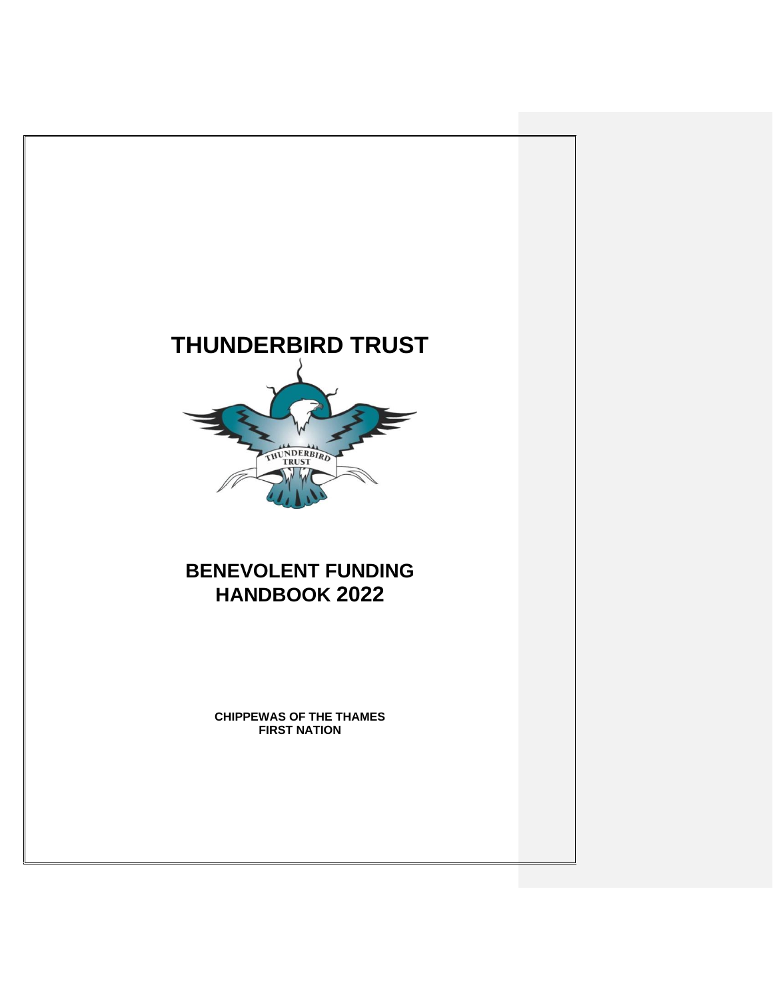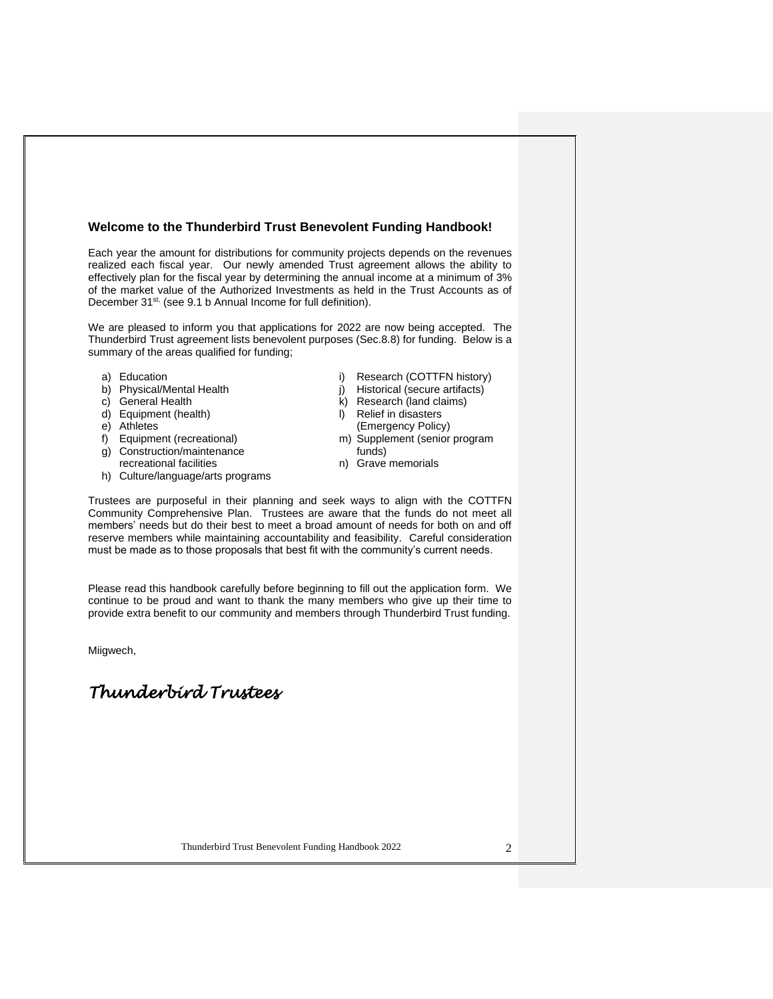#### **Welcome to the Thunderbird Trust Benevolent Funding Handbook!**

Each year the amount for distributions for community projects depends on the revenues realized each fiscal year. Our newly amended Trust agreement allows the ability to effectively plan for the fiscal year by determining the annual income at a minimum of 3% of the market value of the Authorized Investments as held in the Trust Accounts as of December 31<sup>st,</sup> (see 9.1 b Annual Income for full definition).

We are pleased to inform you that applications for 2022 are now being accepted. The Thunderbird Trust agreement lists benevolent purposes (Sec.8.8) for funding. Below is a summary of the areas qualified for funding;

- a) Education
- b) Physical/Mental Health
- c) General Health
- d) Equipment (health)
- e) Athletes
- f) Equipment (recreational)
- g) Construction/maintenance
- recreational facilities h) Culture/language/arts programs
- i) Research (COTTFN history)
- j) Historical (secure artifacts)
- k) Research (land claims)
- l) Relief in disasters (Emergency Policy)
- m) Supplement (senior program funds)
- n) Grave memorials

Trustees are purposeful in their planning and seek ways to align with the COTTFN Community Comprehensive Plan. Trustees are aware that the funds do not meet all members' needs but do their best to meet a broad amount of needs for both on and off reserve members while maintaining accountability and feasibility. Careful consideration must be made as to those proposals that best fit with the community's current needs.

Please read this handbook carefully before beginning to fill out the application form. We continue to be proud and want to thank the many members who give up their time to provide extra benefit to our community and members through Thunderbird Trust funding.

Miigwech,

# *Thunderbird Trustees*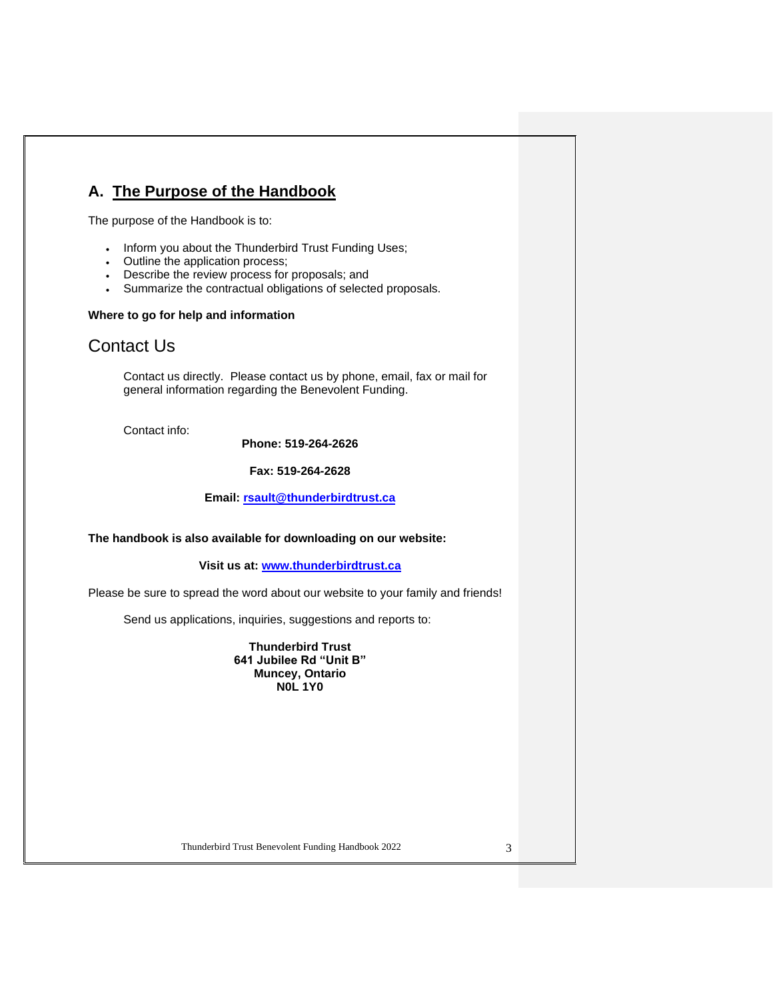# **A. The Purpose of the Handbook**

The purpose of the Handbook is to:

- Inform you about the Thunderbird Trust Funding Uses;
- Outline the application process;
- Describe the review process for proposals; and
- Summarize the contractual obligations of selected proposals.

### **Where to go for help and information**

# Contact Us

Contact us directly. Please contact us by phone, email, fax or mail for general information regarding the Benevolent Funding.

Contact info:

### **Phone: 519-264-2626**

**Fax: 519-264-2628**

**Email: [rsault@thunderbirdtrust.ca](mailto:rsault@thunderbirdtrust.ca)**

#### **The handbook is also available for downloading on our website:**

**Visit us at: [www.thunderbirdtrust.ca](http://www.thunderbirdtrust.ca/)**

Please be sure to spread the word about our website to your family and friends!

Send us applications, inquiries, suggestions and reports to:

**Thunderbird Trust 641 Jubilee Rd "Unit B" Muncey, Ontario N0L 1Y0**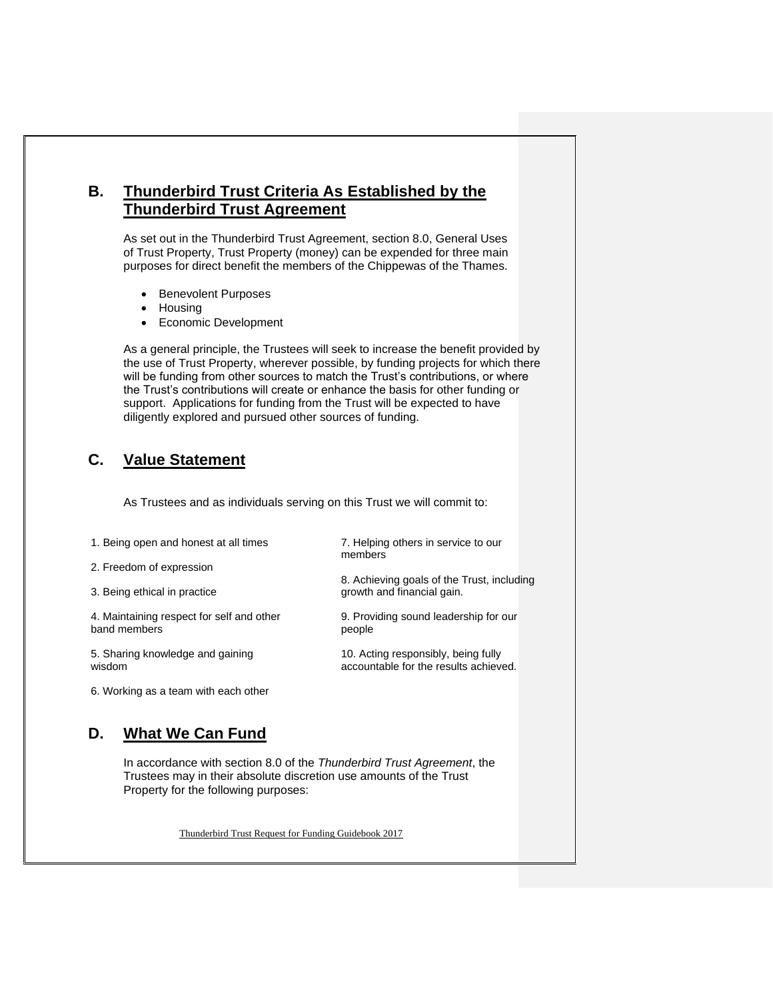## **B. Thunderbird Trust Criteria As Established by the Thunderbird Trust Agreement**

As set out in the Thunderbird Trust Agreement, section 8.0, General Uses of Trust Property, Trust Property (money) can be expended for three main purposes for direct benefit the members of the Chippewas of the Thames.

- Benevolent Purposes
- Housing
- Economic Development

As a general principle, the Trustees will seek to increase the benefit provided by the use of Trust Property, wherever possible, by funding projects for which there will be funding from other sources to match the Trust's contributions, or where the Trust's contributions will create or enhance the basis for other funding or support. Applications for funding from the Trust will be expected to have diligently explored and pursued other sources of funding.

## **C. Value Statement**

As Trustees and as individuals serving on this Trust we will commit to:

|  |  | 1. Being open and honest at all times |  |  |  |
|--|--|---------------------------------------|--|--|--|
|--|--|---------------------------------------|--|--|--|

2. Freedom of expression

3. Being ethical in practice

4. Maintaining respect for self and other band members

5. Sharing knowledge and gaining wisdom

9. Providing sound leadership for our people

8. Achieving goals of the Trust, including

7. Helping others in service to our

growth and financial gain.

members

10. Acting responsibly, being fully accountable for the results achieved.

6. Working as a team with each other

### **D. What We Can Fund**

In accordance with section 8.0 of the *Thunderbird Trust Agreement*, the Trustees may in their absolute discretion use amounts of the Trust Property for the following purposes:

Thunderbird Trust Request for Funding Guidebook 2017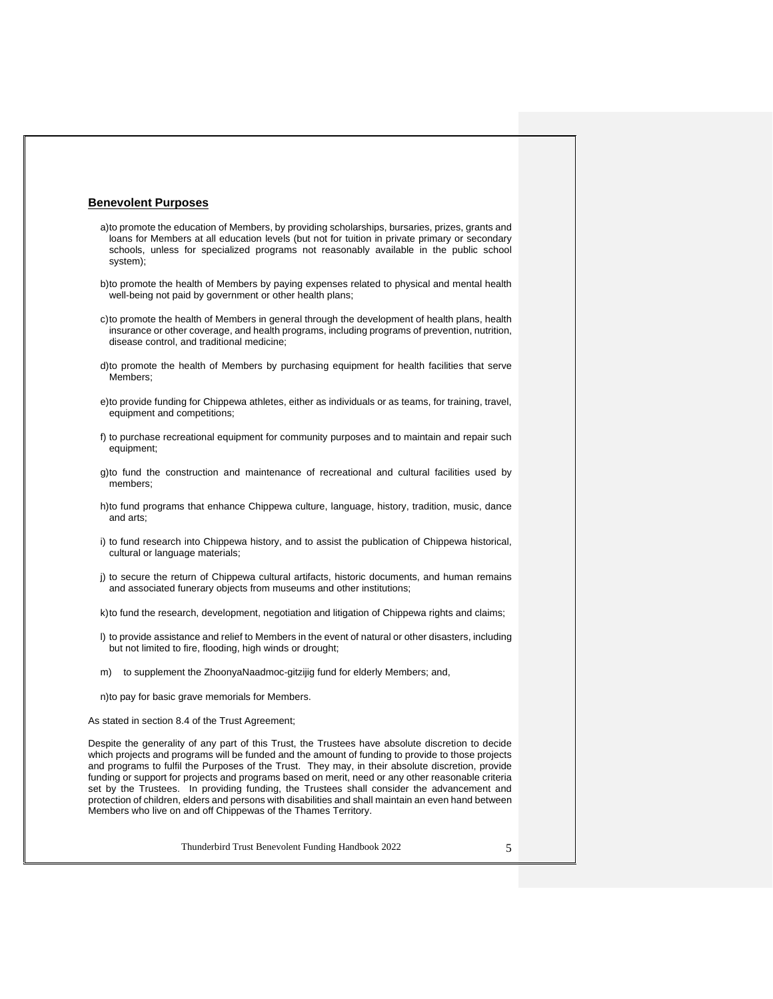#### **Benevolent Purposes**

- a)to promote the education of Members, by providing scholarships, bursaries, prizes, grants and loans for Members at all education levels (but not for tuition in private primary or secondary schools, unless for specialized programs not reasonably available in the public school system);
- b)to promote the health of Members by paying expenses related to physical and mental health well-being not paid by government or other health plans;
- c)to promote the health of Members in general through the development of health plans, health insurance or other coverage, and health programs, including programs of prevention, nutrition, disease control, and traditional medicine;
- d)to promote the health of Members by purchasing equipment for health facilities that serve Members;
- e)to provide funding for Chippewa athletes, either as individuals or as teams, for training, travel, equipment and competitions;
- f) to purchase recreational equipment for community purposes and to maintain and repair such equipment;
- g)to fund the construction and maintenance of recreational and cultural facilities used by members;
- h)to fund programs that enhance Chippewa culture, language, history, tradition, music, dance and arts;
- i) to fund research into Chippewa history, and to assist the publication of Chippewa historical, cultural or language materials;
- j) to secure the return of Chippewa cultural artifacts, historic documents, and human remains and associated funerary objects from museums and other institutions;
- k)to fund the research, development, negotiation and litigation of Chippewa rights and claims;
- l) to provide assistance and relief to Members in the event of natural or other disasters, including but not limited to fire, flooding, high winds or drought;
- m) to supplement the ZhoonyaNaadmoc-gitzijig fund for elderly Members; and,

n)to pay for basic grave memorials for Members.

As stated in section 8.4 of the Trust Agreement;

Despite the generality of any part of this Trust, the Trustees have absolute discretion to decide which projects and programs will be funded and the amount of funding to provide to those projects and programs to fulfil the Purposes of the Trust. They may, in their absolute discretion, provide funding or support for projects and programs based on merit, need or any other reasonable criteria set by the Trustees. In providing funding, the Trustees shall consider the advancement and protection of children, elders and persons with disabilities and shall maintain an even hand between Members who live on and off Chippewas of the Thames Territory.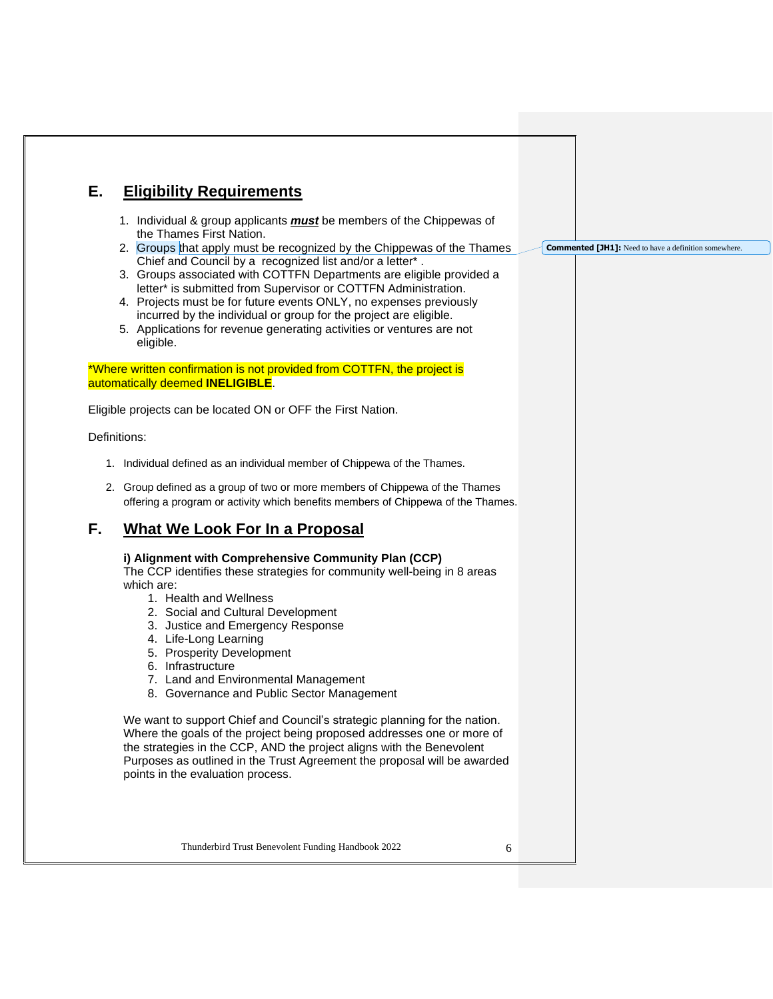# **E. Eligibility Requirements**

- 1. Individual & group applicants *must* be members of the Chippewas of the Thames First Nation.
- 2. Groups that apply must be recognized by the Chippewas of the Thames Chief and Council by a recognized list and/or a letter\* . **Commented [JH1]:** Need to have a definition somewhere.
- 3. Groups associated with COTTFN Departments are eligible provided a letter\* is submitted from Supervisor or COTTFN Administration.
- 4. Projects must be for future events ONLY, no expenses previously incurred by the individual or group for the project are eligible.
- 5. Applications for revenue generating activities or ventures are not eligible.

\*Where written confirmation is not provided from COTTFN, the project is automatically deemed **INELIGIBLE**.

Eligible projects can be located ON or OFF the First Nation.

Definitions:

- 1. Individual defined as an individual member of Chippewa of the Thames.
- 2. Group defined as a group of two or more members of Chippewa of the Thames offering a program or activity which benefits members of Chippewa of the Thames.

# **F. What We Look For In a Proposal**

#### **i) Alignment with Comprehensive Community Plan (CCP)**

The CCP identifies these strategies for community well-being in 8 areas which are:

- 1. Health and Wellness
- 2. Social and Cultural Development
- 3. Justice and Emergency Response
- 4. Life-Long Learning
- 5. Prosperity Development
- 6. Infrastructure
- 7. Land and Environmental Management
- 8. Governance and Public Sector Management

We want to support Chief and Council's strategic planning for the nation. Where the goals of the project being proposed addresses one or more of the strategies in the CCP, AND the project aligns with the Benevolent Purposes as outlined in the Trust Agreement the proposal will be awarded points in the evaluation process.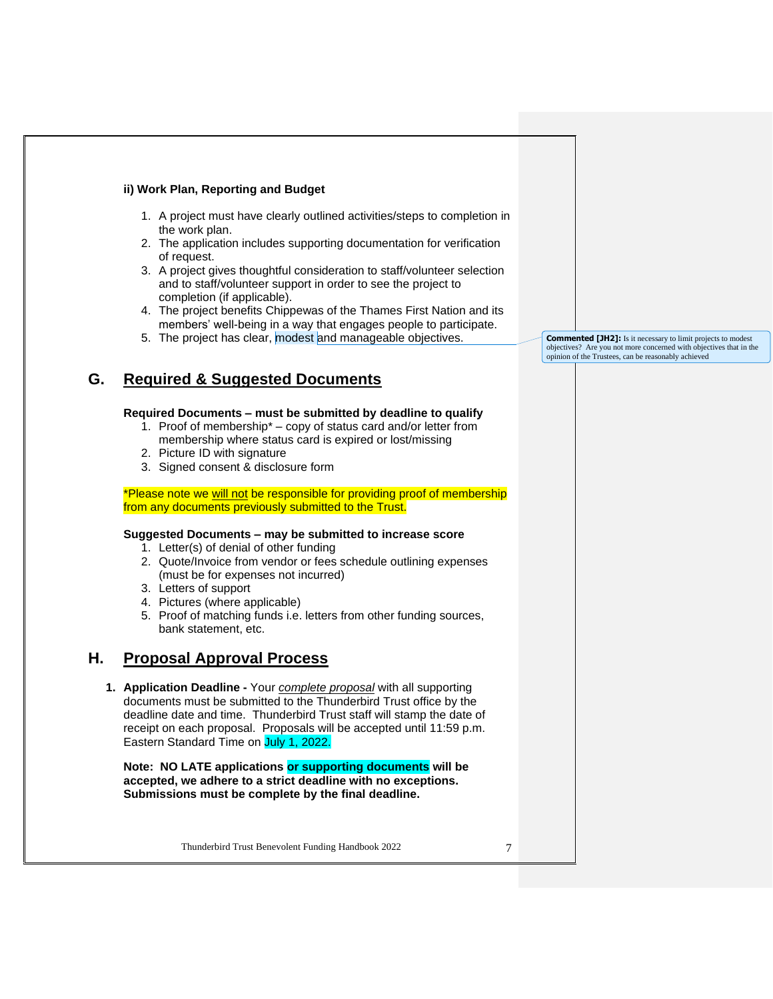### **ii) Work Plan, Reporting and Budget**

- 1. A project must have clearly outlined activities/steps to completion in the work plan.
- 2. The application includes supporting documentation for verification of request.
- 3. A project gives thoughtful consideration to staff/volunteer selection and to staff/volunteer support in order to see the project to completion (if applicable).
- 4. The project benefits Chippewas of the Thames First Nation and its members' well-being in a way that engages people to participate.
- 5. The project has clear, modest and manageable objectives.

| G. | <b>Required &amp; Suggested Documents</b> |
|----|-------------------------------------------|
|    |                                           |

### **Required Documents – must be submitted by deadline to qualify**

- 1. Proof of membership\* copy of status card and/or letter from membership where status card is expired or lost/missing
- 2. Picture ID with signature
- 3. Signed consent & disclosure form

\*Please note we will not be responsible for providing proof of membership from any documents previously submitted to the Trust.

### **Suggested Documents – may be submitted to increase score**

- 1. Letter(s) of denial of other funding
- 2. Quote/Invoice from vendor or fees schedule outlining expenses (must be for expenses not incurred)
- 3. Letters of support
- 4. Pictures (where applicable)
- 5. Proof of matching funds i.e. letters from other funding sources, bank statement, etc.

### **H. Proposal Approval Process**

**1. Application Deadline -** Your *complete proposal* with all supporting documents must be submitted to the Thunderbird Trust office by the deadline date and time. Thunderbird Trust staff will stamp the date of receipt on each proposal. Proposals will be accepted until 11:59 p.m. Eastern Standard Time on July 1, 2022.

**Note: NO LATE applications or supporting documents will be accepted, we adhere to a strict deadline with no exceptions. Submissions must be complete by the final deadline.**

Thunderbird Trust Benevolent Funding Handbook 2022 7

**Commented [JH2]:** Is it necessary to limit projects to modest objectives? Are you not more concerned with objectives that in the opinion of the Trustees, can be reasonably achieved